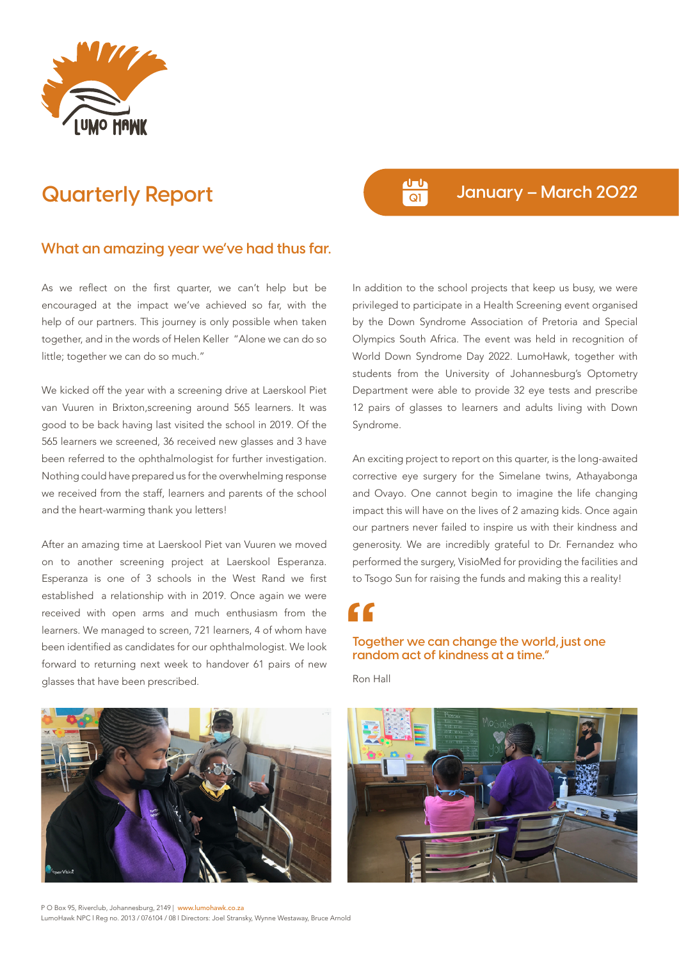

## **Quarterly Report Quarterly Report Quarterly Report**

## **What an amazing year we've had thus far.**

As we reflect on the first quarter, we can't help but be encouraged at the impact we've achieved so far, with the help of our partners. This journey is only possible when taken together, and in the words of Helen Keller "Alone we can do so little; together we can do so much."

We kicked off the year with a screening drive at Laerskool Piet van Vuuren in Brixton,screening around 565 learners. It was good to be back having last visited the school in 2019. Of the 565 learners we screened, 36 received new glasses and 3 have been referred to the ophthalmologist for further investigation. Nothing could have prepared us for the overwhelming response we received from the staff, learners and parents of the school and the heart-warming thank you letters!

After an amazing time at Laerskool Piet van Vuuren we moved on to another screening project at Laerskool Esperanza. Esperanza is one of 3 schools in the West Rand we first established a relationship with in 2019. Once again we were received with open arms and much enthusiasm from the learners. We managed to screen, 721 learners, 4 of whom have been identified as candidates for our ophthalmologist. We look forward to returning next week to handover 61 pairs of new glasses that have been prescribed.

In addition to the school projects that keep us busy, we were privileged to participate in a Health Screening event organised by the Down Syndrome Association of Pretoria and Special Olympics South Africa. The event was held in recognition of World Down Syndrome Day 2022. LumoHawk, together with students from the University of Johannesburg's Optometry Department were able to provide 32 eye tests and prescribe 12 pairs of glasses to learners and adults living with Down Syndrome.

An exciting project to report on this quarter, is the long-awaited corrective eye surgery for the Simelane twins, Athayabonga and Ovayo. One cannot begin to imagine the life changing impact this will have on the lives of 2 amazing kids. Once again our partners never failed to inspire us with their kindness and generosity. We are incredibly grateful to Dr. Fernandez who performed the surgery, VisioMed for providing the facilities and to Tsogo Sun for raising the funds and making this a reality!

**Together we can change the world, just one random act of kindness at a time." "**

Ron Hall



P O Box 95, Riverclub, Johannesburg, 2149 | www.lumohawk.co.za LumoHawk NPC l Reg no. 2013 / 076104 / 08 l Directors: Joel Stransky, Wynne Westaway, Bruce Arnold